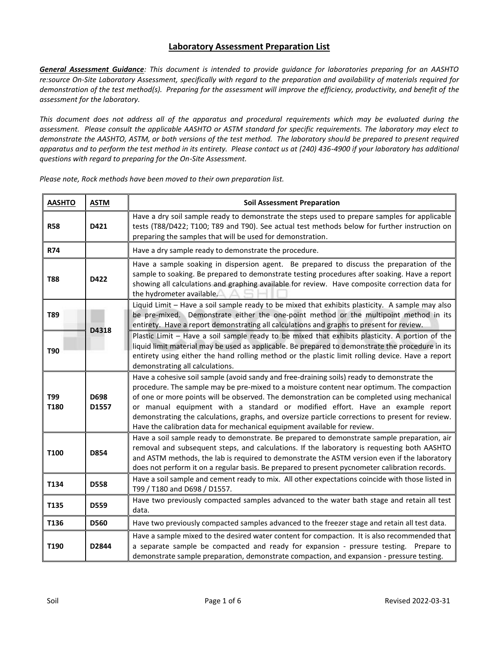## **Laboratory Assessment Preparation List**

*General Assessment Guidance: This document is intended to provide guidance for laboratories preparing for an AASHTO re:source On-Site Laboratory Assessment, specifically with regard to the preparation and availability of materials required for demonstration of the test method(s). Preparing for the assessment will improve the efficiency, productivity, and benefit of the assessment for the laboratory.*

*This document does not address all of the apparatus and procedural requirements which may be evaluated during the assessment. Please consult the applicable AASHTO or ASTM standard for specific requirements. The laboratory may elect to demonstrate the AASHTO, ASTM, or both versions of the test method. The laboratory should be prepared to present required apparatus and to perform the test method in its entirety. Please contact us at (240) 436-4900 if your laboratory has additional questions with regard to preparing for the On-Site Assessment.*

| <b>AASHTO</b> | <b>ASTM</b>   | <b>Soil Assessment Preparation</b>                                                                                                                                                                                                                                                                                                                                                                                                                                                                                                                       |
|---------------|---------------|----------------------------------------------------------------------------------------------------------------------------------------------------------------------------------------------------------------------------------------------------------------------------------------------------------------------------------------------------------------------------------------------------------------------------------------------------------------------------------------------------------------------------------------------------------|
| <b>R58</b>    | D421          | Have a dry soil sample ready to demonstrate the steps used to prepare samples for applicable<br>tests (T88/D422; T100; T89 and T90). See actual test methods below for further instruction on<br>preparing the samples that will be used for demonstration.                                                                                                                                                                                                                                                                                              |
| <b>R74</b>    |               | Have a dry sample ready to demonstrate the procedure.                                                                                                                                                                                                                                                                                                                                                                                                                                                                                                    |
| <b>T88</b>    | D422          | Have a sample soaking in dispersion agent. Be prepared to discuss the preparation of the<br>sample to soaking. Be prepared to demonstrate testing procedures after soaking. Have a report<br>showing all calculations and graphing available for review. Have composite correction data for<br>the hydrometer available.                                                                                                                                                                                                                                 |
| T89           |               | Liquid Limit - Have a soil sample ready to be mixed that exhibits plasticity. A sample may also<br>be pre-mixed. Demonstrate either the one-point method or the multipoint method in its<br>entirety. Have a report demonstrating all calculations and graphs to present for review.                                                                                                                                                                                                                                                                     |
| T90           | D4318         | Plastic Limit - Have a soil sample ready to be mixed that exhibits plasticity. A portion of the<br>liquid limit material may be used as applicable. Be prepared to demonstrate the procedure in its<br>entirety using either the hand rolling method or the plastic limit rolling device. Have a report<br>demonstrating all calculations.                                                                                                                                                                                                               |
| T99<br>T180   | D698<br>D1557 | Have a cohesive soil sample (avoid sandy and free-draining soils) ready to demonstrate the<br>procedure. The sample may be pre-mixed to a moisture content near optimum. The compaction<br>of one or more points will be observed. The demonstration can be completed using mechanical<br>or manual equipment with a standard or modified effort. Have an example report<br>demonstrating the calculations, graphs, and oversize particle corrections to present for review.<br>Have the calibration data for mechanical equipment available for review. |
| T100          | D854          | Have a soil sample ready to demonstrate. Be prepared to demonstrate sample preparation, air<br>removal and subsequent steps, and calculations. If the laboratory is requesting both AASHTO<br>and ASTM methods, the lab is required to demonstrate the ASTM version even if the laboratory<br>does not perform it on a regular basis. Be prepared to present pycnometer calibration records.                                                                                                                                                             |
| T134          | <b>D558</b>   | Have a soil sample and cement ready to mix. All other expectations coincide with those listed in<br>T99 / T180 and D698 / D1557.                                                                                                                                                                                                                                                                                                                                                                                                                         |
| T135          | D559          | Have two previously compacted samples advanced to the water bath stage and retain all test<br>data.                                                                                                                                                                                                                                                                                                                                                                                                                                                      |
| T136          | D560          | Have two previously compacted samples advanced to the freezer stage and retain all test data.                                                                                                                                                                                                                                                                                                                                                                                                                                                            |
| T190          | D2844         | Have a sample mixed to the desired water content for compaction. It is also recommended that<br>a separate sample be compacted and ready for expansion - pressure testing. Prepare to<br>demonstrate sample preparation, demonstrate compaction, and expansion - pressure testing.                                                                                                                                                                                                                                                                       |

*Please note, Rock methods have been moved to their own preparation list.*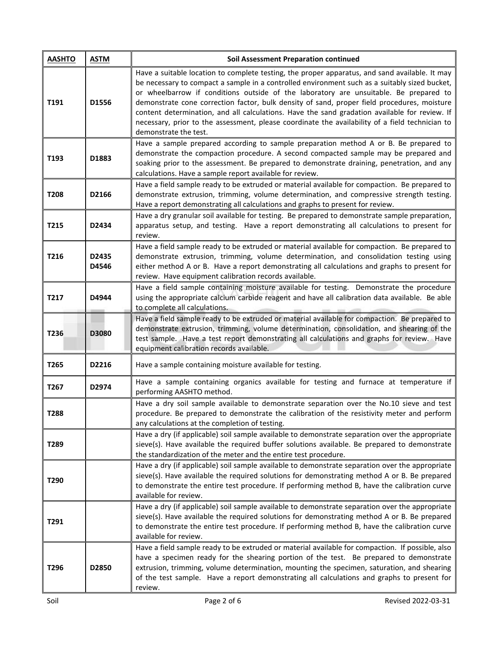| <b>AASHTO</b> | <b>ASTM</b>    | <b>Soil Assessment Preparation continued</b>                                                                                                                                                                                                                                                                                                                                                                                                                                                                                                                                                                         |
|---------------|----------------|----------------------------------------------------------------------------------------------------------------------------------------------------------------------------------------------------------------------------------------------------------------------------------------------------------------------------------------------------------------------------------------------------------------------------------------------------------------------------------------------------------------------------------------------------------------------------------------------------------------------|
| T191          | D1556          | Have a suitable location to complete testing, the proper apparatus, and sand available. It may<br>be necessary to compact a sample in a controlled environment such as a suitably sized bucket,<br>or wheelbarrow if conditions outside of the laboratory are unsuitable. Be prepared to<br>demonstrate cone correction factor, bulk density of sand, proper field procedures, moisture<br>content determination, and all calculations. Have the sand gradation available for review. If<br>necessary, prior to the assessment, please coordinate the availability of a field technician to<br>demonstrate the test. |
| T193          | D1883          | Have a sample prepared according to sample preparation method A or B. Be prepared to<br>demonstrate the compaction procedure. A second compacted sample may be prepared and<br>soaking prior to the assessment. Be prepared to demonstrate draining, penetration, and any<br>calculations. Have a sample report available for review.                                                                                                                                                                                                                                                                                |
| T208          | D2166          | Have a field sample ready to be extruded or material available for compaction. Be prepared to<br>demonstrate extrusion, trimming, volume determination, and compressive strength testing.<br>Have a report demonstrating all calculations and graphs to present for review.                                                                                                                                                                                                                                                                                                                                          |
| T215          | D2434          | Have a dry granular soil available for testing. Be prepared to demonstrate sample preparation,<br>apparatus setup, and testing. Have a report demonstrating all calculations to present for<br>review.                                                                                                                                                                                                                                                                                                                                                                                                               |
| T216          | D2435<br>D4546 | Have a field sample ready to be extruded or material available for compaction. Be prepared to<br>demonstrate extrusion, trimming, volume determination, and consolidation testing using<br>either method A or B. Have a report demonstrating all calculations and graphs to present for<br>review. Have equipment calibration records available.                                                                                                                                                                                                                                                                     |
| T217          | D4944          | Have a field sample containing moisture available for testing. Demonstrate the procedure<br>using the appropriate calcium carbide reagent and have all calibration data available. Be able<br>to complete all calculations.                                                                                                                                                                                                                                                                                                                                                                                          |
| T236          | D3080          | Have a field sample ready to be extruded or material available for compaction. Be prepared to<br>demonstrate extrusion, trimming, volume determination, consolidation, and shearing of the<br>test sample. Have a test report demonstrating all calculations and graphs for review. Have<br>equipment calibration records available.                                                                                                                                                                                                                                                                                 |
| T265          | D2216          | Have a sample containing moisture available for testing.                                                                                                                                                                                                                                                                                                                                                                                                                                                                                                                                                             |
| T267          | D2974          | Have a sample containing organics available for testing and furnace at temperature if<br>performing AASHTO method.                                                                                                                                                                                                                                                                                                                                                                                                                                                                                                   |
| T288          |                | Have a dry soil sample available to demonstrate separation over the No.10 sieve and test<br>procedure. Be prepared to demonstrate the calibration of the resistivity meter and perform<br>any calculations at the completion of testing.                                                                                                                                                                                                                                                                                                                                                                             |
| T289          |                | Have a dry (if applicable) soil sample available to demonstrate separation over the appropriate<br>sieve(s). Have available the required buffer solutions available. Be prepared to demonstrate<br>the standardization of the meter and the entire test procedure.                                                                                                                                                                                                                                                                                                                                                   |
| T290          |                | Have a dry (if applicable) soil sample available to demonstrate separation over the appropriate<br>sieve(s). Have available the required solutions for demonstrating method A or B. Be prepared<br>to demonstrate the entire test procedure. If performing method B, have the calibration curve<br>available for review.                                                                                                                                                                                                                                                                                             |
| T291          |                | Have a dry (if applicable) soil sample available to demonstrate separation over the appropriate<br>sieve(s). Have available the required solutions for demonstrating method A or B. Be prepared<br>to demonstrate the entire test procedure. If performing method B, have the calibration curve<br>available for review.                                                                                                                                                                                                                                                                                             |
| T296          | D2850          | Have a field sample ready to be extruded or material available for compaction. If possible, also<br>have a specimen ready for the shearing portion of the test. Be prepared to demonstrate<br>extrusion, trimming, volume determination, mounting the specimen, saturation, and shearing<br>of the test sample. Have a report demonstrating all calculations and graphs to present for<br>review.                                                                                                                                                                                                                    |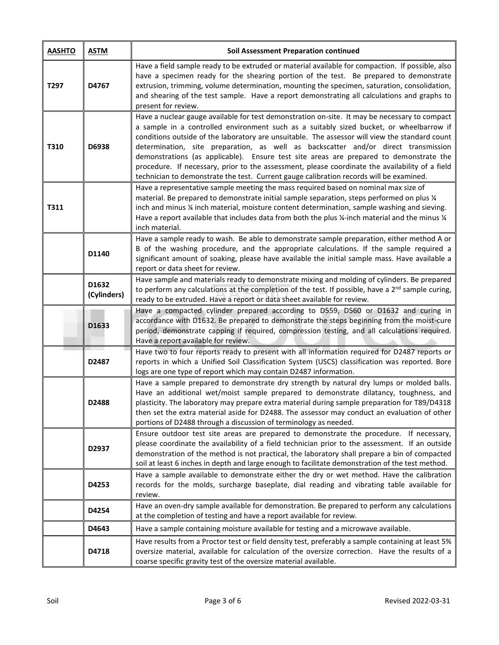| <b>AASHTO</b> | <b>ASTM</b>          | <b>Soil Assessment Preparation continued</b>                                                                                                                                                                                                                                                                                                                                                                                                                                                                                                                                                                                                                             |
|---------------|----------------------|--------------------------------------------------------------------------------------------------------------------------------------------------------------------------------------------------------------------------------------------------------------------------------------------------------------------------------------------------------------------------------------------------------------------------------------------------------------------------------------------------------------------------------------------------------------------------------------------------------------------------------------------------------------------------|
| T297          | D4767                | Have a field sample ready to be extruded or material available for compaction. If possible, also<br>have a specimen ready for the shearing portion of the test. Be prepared to demonstrate<br>extrusion, trimming, volume determination, mounting the specimen, saturation, consolidation,<br>and shearing of the test sample. Have a report demonstrating all calculations and graphs to<br>present for review.                                                                                                                                                                                                                                                         |
| T310          | D6938                | Have a nuclear gauge available for test demonstration on-site. It may be necessary to compact<br>a sample in a controlled environment such as a suitably sized bucket, or wheelbarrow if<br>conditions outside of the laboratory are unsuitable. The assessor will view the standard count<br>determination, site preparation, as well as backscatter and/or direct transmission<br>demonstrations (as applicable). Ensure test site areas are prepared to demonstrate the<br>procedure. If necessary, prior to the assessment, please coordinate the availability of a field<br>technician to demonstrate the test. Current gauge calibration records will be examined. |
| T311          |                      | Have a representative sample meeting the mass required based on nominal max size of<br>material. Be prepared to demonstrate initial sample separation, steps performed on plus 1/4<br>inch and minus 1/4 inch material, moisture content determination, sample washing and sieving.<br>Have a report available that includes data from both the plus ¼-inch material and the minus ¼<br>inch material.                                                                                                                                                                                                                                                                   |
|               | D1140                | Have a sample ready to wash. Be able to demonstrate sample preparation, either method A or<br>B of the washing procedure, and the appropriate calculations. If the sample required a<br>significant amount of soaking, please have available the initial sample mass. Have available a<br>report or data sheet for review.                                                                                                                                                                                                                                                                                                                                               |
|               | D1632<br>(Cylinders) | Have sample and materials ready to demonstrate mixing and molding of cylinders. Be prepared<br>to perform any calculations at the completion of the test. If possible, have a 2 <sup>nd</sup> sample curing,<br>ready to be extruded. Have a report or data sheet available for review.                                                                                                                                                                                                                                                                                                                                                                                  |
|               | D1633                | Have a compacted cylinder prepared according to D559, D560 or D1632 and curing in<br>accordance with D1632. Be prepared to demonstrate the steps beginning from the moist-cure<br>period, demonstrate capping if required, compression testing, and all calculations required.<br>Have a report available for review.                                                                                                                                                                                                                                                                                                                                                    |
|               | D2487                | Have two to four reports ready to present with all information required for D2487 reports or<br>reports in which a Unified Soil Classification System (USCS) classification was reported. Bore<br>logs are one type of report which may contain D2487 information.                                                                                                                                                                                                                                                                                                                                                                                                       |
|               | D2488                | Have a sample prepared to demonstrate dry strength by natural dry lumps or molded balls.<br>Have an additional wet/moist sample prepared to demonstrate dilatancy, toughness, and<br>plasticity. The laboratory may prepare extra material during sample preparation for T89/D4318<br>then set the extra material aside for D2488. The assessor may conduct an evaluation of other<br>portions of D2488 through a discussion of terminology as needed.                                                                                                                                                                                                                   |
|               | D2937                | Ensure outdoor test site areas are prepared to demonstrate the procedure. If necessary,<br>please coordinate the availability of a field technician prior to the assessment. If an outside<br>demonstration of the method is not practical, the laboratory shall prepare a bin of compacted<br>soil at least 6 inches in depth and large enough to facilitate demonstration of the test method.                                                                                                                                                                                                                                                                          |
|               | D4253                | Have a sample available to demonstrate either the dry or wet method. Have the calibration<br>records for the molds, surcharge baseplate, dial reading and vibrating table available for<br>review.                                                                                                                                                                                                                                                                                                                                                                                                                                                                       |
|               | D4254                | Have an oven-dry sample available for demonstration. Be prepared to perform any calculations<br>at the completion of testing and have a report available for review.                                                                                                                                                                                                                                                                                                                                                                                                                                                                                                     |
|               | D4643                | Have a sample containing moisture available for testing and a microwave available.                                                                                                                                                                                                                                                                                                                                                                                                                                                                                                                                                                                       |
|               | D4718                | Have results from a Proctor test or field density test, preferably a sample containing at least 5%<br>oversize material, available for calculation of the oversize correction. Have the results of a<br>coarse specific gravity test of the oversize material available.                                                                                                                                                                                                                                                                                                                                                                                                 |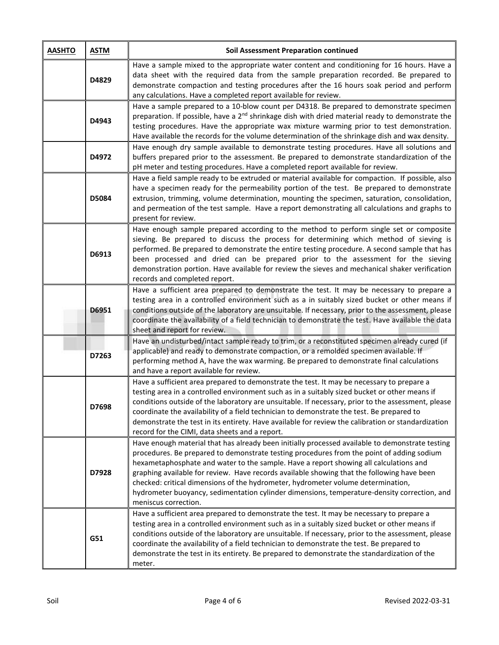| <b>AASHTO</b> | <b>ASTM</b> | <b>Soil Assessment Preparation continued</b>                                                                                                                                                                                                                                                                                                                                                                                                                                                                                                                                                   |
|---------------|-------------|------------------------------------------------------------------------------------------------------------------------------------------------------------------------------------------------------------------------------------------------------------------------------------------------------------------------------------------------------------------------------------------------------------------------------------------------------------------------------------------------------------------------------------------------------------------------------------------------|
|               | D4829       | Have a sample mixed to the appropriate water content and conditioning for 16 hours. Have a<br>data sheet with the required data from the sample preparation recorded. Be prepared to<br>demonstrate compaction and testing procedures after the 16 hours soak period and perform<br>any calculations. Have a completed report available for review.                                                                                                                                                                                                                                            |
|               | D4943       | Have a sample prepared to a 10-blow count per D4318. Be prepared to demonstrate specimen<br>preparation. If possible, have a $2^{nd}$ shrinkage dish with dried material ready to demonstrate the<br>testing procedures. Have the appropriate wax mixture warming prior to test demonstration.<br>Have available the records for the volume determination of the shrinkage dish and wax density.                                                                                                                                                                                               |
|               | D4972       | Have enough dry sample available to demonstrate testing procedures. Have all solutions and<br>buffers prepared prior to the assessment. Be prepared to demonstrate standardization of the<br>pH meter and testing procedures. Have a completed report available for review.                                                                                                                                                                                                                                                                                                                    |
|               | D5084       | Have a field sample ready to be extruded or material available for compaction. If possible, also<br>have a specimen ready for the permeability portion of the test. Be prepared to demonstrate<br>extrusion, trimming, volume determination, mounting the specimen, saturation, consolidation,<br>and permeation of the test sample. Have a report demonstrating all calculations and graphs to<br>present for review.                                                                                                                                                                         |
|               | D6913       | Have enough sample prepared according to the method to perform single set or composite<br>sieving. Be prepared to discuss the process for determining which method of sieving is<br>performed. Be prepared to demonstrate the entire testing procedure. A second sample that has<br>been processed and dried can be prepared prior to the assessment for the sieving<br>demonstration portion. Have available for review the sieves and mechanical shaker verification<br>records and completed report.                                                                                        |
|               | D6951       | Have a sufficient area prepared to demonstrate the test. It may be necessary to prepare a<br>testing area in a controlled environment such as a in suitably sized bucket or other means if<br>conditions outside of the laboratory are unsuitable. If necessary, prior to the assessment, please<br>coordinate the availability of a field technician to demonstrate the test. Have available the data<br>sheet and report for review.                                                                                                                                                         |
|               | D7263       | Have an undisturbed/intact sample ready to trim, or a reconstituted specimen already cured (if<br>applicable) and ready to demonstrate compaction, or a remolded specimen available. If<br>performing method A, have the wax warming. Be prepared to demonstrate final calculations<br>and have a report available for review.                                                                                                                                                                                                                                                                 |
|               | D7698       | Have a sufficient area prepared to demonstrate the test. It may be necessary to prepare a<br>testing area in a controlled environment such as in a suitably sized bucket or other means if<br>conditions outside of the laboratory are unsuitable. If necessary, prior to the assessment, please<br>coordinate the availability of a field technician to demonstrate the test. Be prepared to<br>demonstrate the test in its entirety. Have available for review the calibration or standardization<br>record for the CIMI, data sheets and a report.                                          |
|               | D7928       | Have enough material that has already been initially processed available to demonstrate testing<br>procedures. Be prepared to demonstrate testing procedures from the point of adding sodium<br>hexametaphosphate and water to the sample. Have a report showing all calculations and<br>graphing available for review. Have records available showing that the following have been<br>checked: critical dimensions of the hydrometer, hydrometer volume determination,<br>hydrometer buoyancy, sedimentation cylinder dimensions, temperature-density correction, and<br>meniscus correction. |
|               | G51         | Have a sufficient area prepared to demonstrate the test. It may be necessary to prepare a<br>testing area in a controlled environment such as in a suitably sized bucket or other means if<br>conditions outside of the laboratory are unsuitable. If necessary, prior to the assessment, please<br>coordinate the availability of a field technician to demonstrate the test. Be prepared to<br>demonstrate the test in its entirety. Be prepared to demonstrate the standardization of the<br>meter.                                                                                         |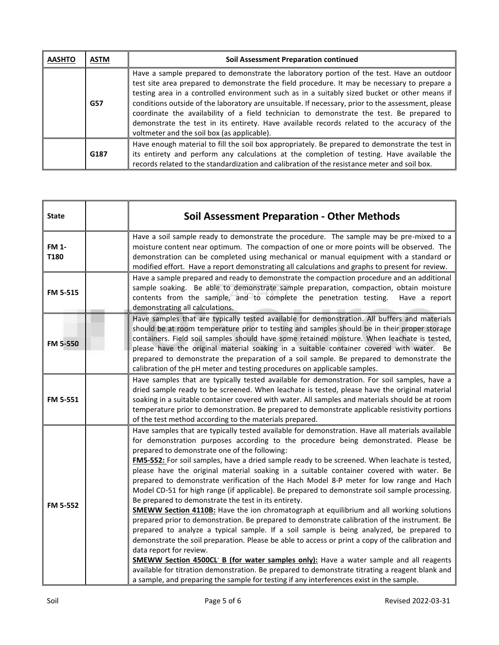| <b>AASHTO</b> | ASTM       | <b>Soil Assessment Preparation continued</b>                                                                                                                                                                                                                                                                                                                                                                                                                                                                                                                                                                                                |
|---------------|------------|---------------------------------------------------------------------------------------------------------------------------------------------------------------------------------------------------------------------------------------------------------------------------------------------------------------------------------------------------------------------------------------------------------------------------------------------------------------------------------------------------------------------------------------------------------------------------------------------------------------------------------------------|
|               | <b>G57</b> | Have a sample prepared to demonstrate the laboratory portion of the test. Have an outdoor<br>test site area prepared to demonstrate the field procedure. It may be necessary to prepare a<br>testing area in a controlled environment such as in a suitably sized bucket or other means if<br>conditions outside of the laboratory are unsuitable. If necessary, prior to the assessment, please<br>coordinate the availability of a field technician to demonstrate the test. Be prepared to<br>demonstrate the test in its entirety. Have available records related to the accuracy of the<br>voltmeter and the soil box (as applicable). |
|               | G187       | Have enough material to fill the soil box appropriately. Be prepared to demonstrate the test in<br>its entirety and perform any calculations at the completion of testing. Have available the<br>records related to the standardization and calibration of the resistance meter and soil box.                                                                                                                                                                                                                                                                                                                                               |

| <b>State</b>         | <b>Soil Assessment Preparation - Other Methods</b>                                                                                                                                                                                                                                                                                                                                                                                                                                                                                                                                                                                                                                                                                                                                                                                                                                                                                                                                                                                                                                                                                                                                                                                                                                                                                                                                                                        |
|----------------------|---------------------------------------------------------------------------------------------------------------------------------------------------------------------------------------------------------------------------------------------------------------------------------------------------------------------------------------------------------------------------------------------------------------------------------------------------------------------------------------------------------------------------------------------------------------------------------------------------------------------------------------------------------------------------------------------------------------------------------------------------------------------------------------------------------------------------------------------------------------------------------------------------------------------------------------------------------------------------------------------------------------------------------------------------------------------------------------------------------------------------------------------------------------------------------------------------------------------------------------------------------------------------------------------------------------------------------------------------------------------------------------------------------------------------|
| <b>FM 1-</b><br>T180 | Have a soil sample ready to demonstrate the procedure. The sample may be pre-mixed to a<br>moisture content near optimum. The compaction of one or more points will be observed. The<br>demonstration can be completed using mechanical or manual equipment with a standard or<br>modified effort. Have a report demonstrating all calculations and graphs to present for review.                                                                                                                                                                                                                                                                                                                                                                                                                                                                                                                                                                                                                                                                                                                                                                                                                                                                                                                                                                                                                                         |
| <b>FM 5-515</b>      | Have a sample prepared and ready to demonstrate the compaction procedure and an additional<br>sample soaking. Be able to demonstrate sample preparation, compaction, obtain moisture<br>contents from the sample, and to complete the penetration testing.<br>Have a report<br>demonstrating all calculations.                                                                                                                                                                                                                                                                                                                                                                                                                                                                                                                                                                                                                                                                                                                                                                                                                                                                                                                                                                                                                                                                                                            |
| <b>FM 5-550</b>      | Have samples that are typically tested available for demonstration. All buffers and materials<br>should be at room temperature prior to testing and samples should be in their proper storage<br>containers. Field soil samples should have some retained moisture. When leachate is tested,<br>please have the original material soaking in a suitable container covered with water. Be<br>prepared to demonstrate the preparation of a soil sample. Be prepared to demonstrate the<br>calibration of the pH meter and testing procedures on applicable samples.                                                                                                                                                                                                                                                                                                                                                                                                                                                                                                                                                                                                                                                                                                                                                                                                                                                         |
| FM 5-551             | Have samples that are typically tested available for demonstration. For soil samples, have a<br>dried sample ready to be screened. When leachate is tested, please have the original material<br>soaking in a suitable container covered with water. All samples and materials should be at room<br>temperature prior to demonstration. Be prepared to demonstrate applicable resistivity portions<br>of the test method according to the materials prepared.                                                                                                                                                                                                                                                                                                                                                                                                                                                                                                                                                                                                                                                                                                                                                                                                                                                                                                                                                             |
| FM 5-552             | Have samples that are typically tested available for demonstration. Have all materials available<br>for demonstration purposes according to the procedure being demonstrated. Please be<br>prepared to demonstrate one of the following:<br>FM5-552: For soil samples, have a dried sample ready to be screened. When leachate is tested,<br>please have the original material soaking in a suitable container covered with water. Be<br>prepared to demonstrate verification of the Hach Model 8-P meter for low range and Hach<br>Model CD-51 for high range (if applicable). Be prepared to demonstrate soil sample processing.<br>Be prepared to demonstrate the test in its entirety.<br><b>SMEWW Section 4110B:</b> Have the ion chromatograph at equilibrium and all working solutions<br>prepared prior to demonstration. Be prepared to demonstrate calibration of the instrument. Be<br>prepared to analyze a typical sample. If a soil sample is being analyzed, be prepared to<br>demonstrate the soil preparation. Please be able to access or print a copy of the calibration and<br>data report for review.<br><b>SMEWW Section 4500CL B (for water samples only):</b> Have a water sample and all reagents<br>available for titration demonstration. Be prepared to demonstrate titrating a reagent blank and<br>a sample, and preparing the sample for testing if any interferences exist in the sample. |